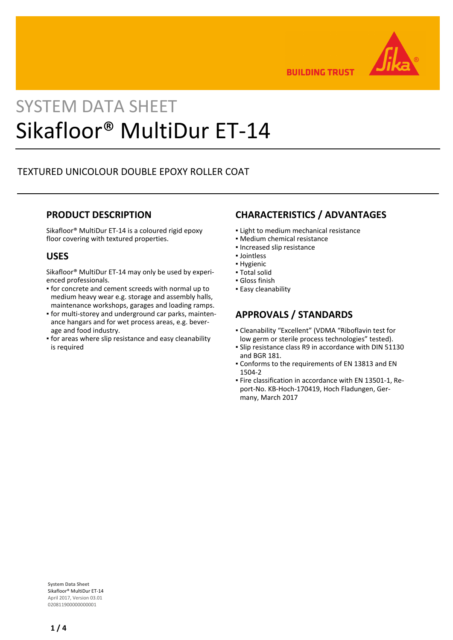

**BUILDING TRUST** 

# SYSTEM DATA SHEET Sikafloor® MultiDur ET-14

## TEXTURED UNICOLOUR DOUBLE EPOXY ROLLER COAT

### **PRODUCT DESCRIPTION**

Sikafloor® MultiDur ET-14 is a coloured rigid epoxy floor covering with textured properties.

### **USES**

Sikafloor® MultiDur ET-14 may only be used by experienced professionals.

- **for concrete and cement screeds with normal up to** medium heavy wear e.g. storage and assembly halls, maintenance workshops, garages and loading ramps.
- for multi-storey and underground car parks, mainten-▪ ance hangars and for wet process areas, e.g. beverage and food industry.
- **for areas where slip resistance and easy cleanability** is required

### **CHARACTERISTICS / ADVANTAGES**

- **.** Light to medium mechanical resistance
- Medium chemical resistance
- Increased slip resistance
- Jointless
- Hygienic
- Total solid ▪ Gloss finish
- Easy cleanability

- **APPROVALS / STANDARDS** Cleanability "Excellent" (VDMA "Riboflavin test for ▪
- low germ or sterile process technologies" tested).
- **Slip resistance class R9 in accordance with DIN 51130** and BGR 181.
- Conforms to the requirements of EN 13813 and EN 1504-2
- Fire classification in accordance with EN 13501-1, Re-▪ port-No. KB-Hoch-170419, Hoch Fladungen, Germany, March 2017

**System Data Sheet** Sikafloor® MultiDur ET-14 April 2017, Version 03.01 020811900000000001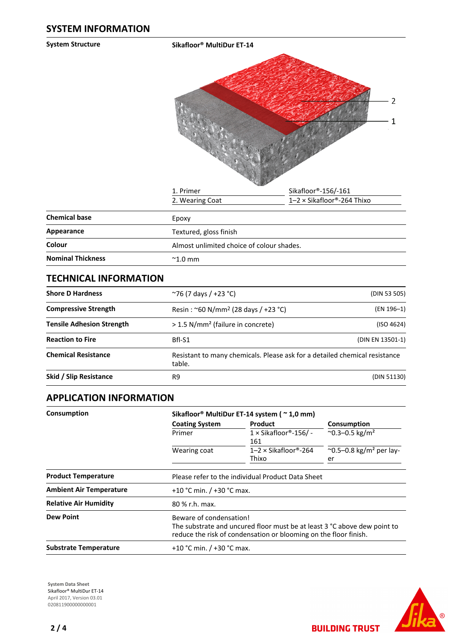**System Structure Sikafloor® MultiDur ET-14**  $\overline{2}$  $\mathbf{1}$ 1. Primer Sikafloor®-156/-161

|                      | 2. Wearing Coat        | $1-2 \times$ Sikafloor®-264 Thixo |  |  |  |
|----------------------|------------------------|-----------------------------------|--|--|--|
| <b>Chemical base</b> | Epoxy                  |                                   |  |  |  |
| Appearance           | Textured, gloss finish |                                   |  |  |  |

| Appearance               | Textured, gloss finish                    |
|--------------------------|-------------------------------------------|
| Colour                   | Almost unlimited choice of colour shades. |
| <b>Nominal Thickness</b> | $^{\sim}$ 1.0 mm                          |

### **TECHNICAL INFORMATION**

| <b>Shore D Hardness</b>          | ~76 (7 days / +23 °C)                                                                | (DIN 53 505)     |
|----------------------------------|--------------------------------------------------------------------------------------|------------------|
| <b>Compressive Strength</b>      | Resin: ~60 N/mm <sup>2</sup> (28 days / +23 °C)                                      | (EN 196-1)       |
| <b>Tensile Adhesion Strength</b> | > 1.5 N/mm <sup>2</sup> (failure in concrete)                                        | (ISO 4624)       |
| <b>Reaction to Fire</b>          | Bfl-S1                                                                               | (DIN EN 13501-1) |
| <b>Chemical Resistance</b>       | Resistant to many chemicals. Please ask for a detailed chemical resistance<br>table. |                  |
| Skid / Slip Resistance           | R9                                                                                   | (DIN 51130)      |

### **APPLICATION INFORMATION**

| Consumption                    | Sikafloor® MultiDur ET-14 system (~1,0 mm)                                                                                                                              |                                      |                                                     |  |  |
|--------------------------------|-------------------------------------------------------------------------------------------------------------------------------------------------------------------------|--------------------------------------|-----------------------------------------------------|--|--|
|                                | <b>Coating System</b>                                                                                                                                                   | <b>Product</b>                       | Consumption                                         |  |  |
|                                | Primer                                                                                                                                                                  | $1 \times$ Sikafloor®-156/ -<br>161  | $^{\circ}$ 0.3-0.5 kg/m <sup>2</sup>                |  |  |
|                                | Wearing coat                                                                                                                                                            | $1-2 \times$ Sikafloor®-264<br>Thixo | $^{\circ}$ 0.5–0.8 kg/m <sup>2</sup> per lay-<br>er |  |  |
| <b>Product Temperature</b>     | Please refer to the individual Product Data Sheet                                                                                                                       |                                      |                                                     |  |  |
| <b>Ambient Air Temperature</b> | +10 °C min. $/$ +30 °C max.                                                                                                                                             |                                      |                                                     |  |  |
| <b>Relative Air Humidity</b>   | 80 % r.h. max.                                                                                                                                                          |                                      |                                                     |  |  |
| <b>Dew Point</b>               | Beware of condensation!<br>The substrate and uncured floor must be at least 3 °C above dew point to<br>reduce the risk of condensation or blooming on the floor finish. |                                      |                                                     |  |  |
| <b>Substrate Temperature</b>   | +10 °C min. / +30 °C max.                                                                                                                                               |                                      |                                                     |  |  |

**System Data Sheet** Sikafloor® MultiDur ET-14 April 2017, Version 03.01 0208119000000000001



**BUILDING TRUST**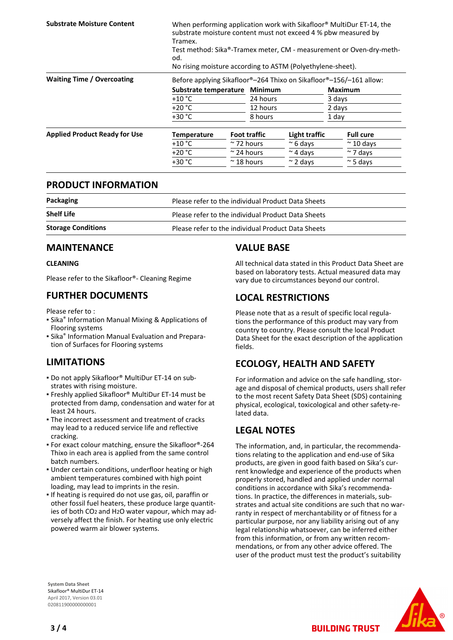| <b>Substrate Moisture Content</b>    | When performing application work with Sikafloor <sup>®</sup> MultiDur ET-14, the<br>substrate moisture content must not exceed 4 % pbw measured by<br>Tramex.<br>Test method: Sika®-Tramex meter, CM - measurement or Oven-dry-meth-<br>od.<br>No rising moisture according to ASTM (Polyethylene-sheet). |  |                     |                  |                |                   |
|--------------------------------------|-----------------------------------------------------------------------------------------------------------------------------------------------------------------------------------------------------------------------------------------------------------------------------------------------------------|--|---------------------|------------------|----------------|-------------------|
|                                      |                                                                                                                                                                                                                                                                                                           |  |                     |                  |                |                   |
| <b>Waiting Time / Overcoating</b>    | Before applying Sikafloor®-264 Thixo on Sikafloor®-156/-161 allow:                                                                                                                                                                                                                                        |  |                     |                  |                |                   |
|                                      | Substrate temperature                                                                                                                                                                                                                                                                                     |  | Minimum             |                  | <b>Maximum</b> |                   |
|                                      | $+10 °C$                                                                                                                                                                                                                                                                                                  |  | 24 hours            |                  | 3 days         |                   |
|                                      | $+20 °C$                                                                                                                                                                                                                                                                                                  |  | 12 hours            |                  | 2 days         |                   |
|                                      | $+30 °C$                                                                                                                                                                                                                                                                                                  |  | 8 hours             |                  | 1 day          |                   |
| <b>Applied Product Ready for Use</b> | <b>Temperature</b>                                                                                                                                                                                                                                                                                        |  | <b>Foot traffic</b> | Light traffic    |                | <b>Full cure</b>  |
|                                      | $+10\degree$ C                                                                                                                                                                                                                                                                                            |  | $\approx$ 72 hours  | $\approx$ 6 days |                | $\approx$ 10 days |
|                                      | $+20 °C$                                                                                                                                                                                                                                                                                                  |  | $\approx$ 24 hours  | $\sim$ 4 days    |                | $\sim$ 7 days     |
|                                      | $+30 °C$                                                                                                                                                                                                                                                                                                  |  | $\approx$ 18 hours  | $\approx$ 2 days |                | $\approx$ 5 days  |

### **PRODUCT INFORMATION**

| Packaging                 | Please refer to the individual Product Data Sheets |
|---------------------------|----------------------------------------------------|
| <b>Shelf Life</b>         | Please refer to the individual Product Data Sheets |
| <b>Storage Conditions</b> | Please refer to the individual Product Data Sheets |

### **MAINTENANCE**

### **CLEANING**

Please refer to the Sikafloor®- Cleaning Regime

### **FURTHER DOCUMENTS**

Please refer to :

- **E** Sika<sup>®</sup> Information Manual Mixing & Applications of Flooring systems
- **E** Sika<sup>®</sup> Information Manual Evaluation and Preparation of Surfaces for Flooring systems

## **LIMITATIONS**

- Do not apply Sikafloor® MultiDur ET-14 on sub-▪ strates with rising moisture.
- Freshly applied Sikafloor® MultiDur ET-14 must be protected from damp, condensation and water for at least 24 hours.
- The incorrect assessment and treatment of cracks may lead to a reduced service life and reflective cracking.
- For exact colour matching, ensure the Sikafloor®-264 Thixo in each area is applied from the same control batch numbers.
- Under certain conditions, underfloor heating or high ambient temperatures combined with high point loading, may lead to imprints in the resin.
- **.** If heating is required do not use gas, oil, paraffin or other fossil fuel heaters, these produce large quantities of both CO2 and H2O water vapour, which may adversely affect the finish. For heating use only electric powered warm air blower systems.

## **VALUE BASE**

All technical data stated in this Product Data Sheet are based on laboratory tests. Actual measured data may vary due to circumstances beyond our control.

### **LOCAL RESTRICTIONS**

Please note that as a result of specific local regulations the performance of this product may vary from country to country. Please consult the local Product Data Sheet for the exact description of the application fields.

### **ECOLOGY, HEALTH AND SAFETY**

For information and advice on the safe handling, storage and disposal of chemical products, users shall refer to the most recent Safety Data Sheet (SDS) containing physical, ecological, toxicological and other safety-related data.

### **LEGAL NOTES**

The information, and, in particular, the recommendations relating to the application and end-use of Sika products, are given in good faith based on Sika's current knowledge and experience of the products when properly stored, handled and applied under normal conditions in accordance with Sika's recommendations. In practice, the differences in materials, substrates and actual site conditions are such that no warranty in respect of merchantability or of fitness for a particular purpose, nor any liability arising out of any legal relationship whatsoever, can be inferred either from this information, or from any written recommendations, or from any other advice offered. The user of the product must test the product's suitability

**BUILDING TRUST** 

**System Data Sheet** Sikafloor® MultiDur ET-14 April 2017, Version 03.01 020811900000000001